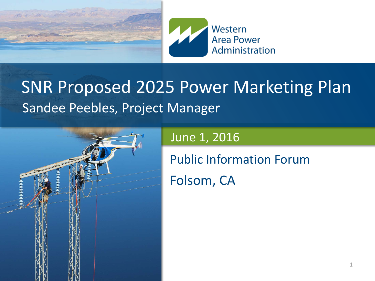



#### SNR Proposed 2025 Power Marketing Plan Sandee Peebles, Project Manager



#### June 1, 2016

Public Information Forum

Folsom, CA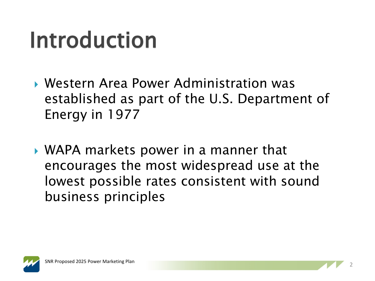#### Introduction

- Western Area Power Administration was established as part of the U.S. Department of Energy in 1977
- WAPA markets power in a manner that encourages the most widespread use at the lowest possible rates consistent with sound business principles

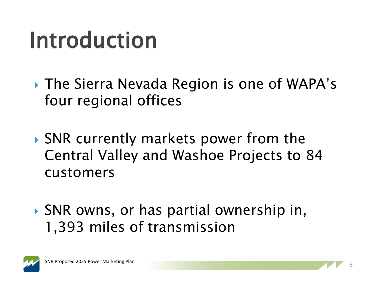#### Introduction

- The Sierra Nevada Region is one of WAPA's four regional offices
- ▶ SNR currently markets power from the Central Valley and Washoe Projects to 84 customers
- ▶ SNR owns, or has partial ownership in, 1,393 miles of transmission

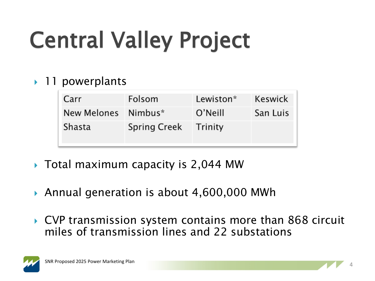# Central Valley Project

#### ▶ 11 powerplants

| Carr                | Folsom              | Lewiston* | Keswick  |
|---------------------|---------------------|-----------|----------|
| New Melones Nimbus* |                     | O'Neill   | San Luis |
| Shasta              | <b>Spring Creek</b> | Trinity   |          |

- ▶ Total maximum capacity is 2,044 MW
- Annual generation is about 4,600,000 MWh
- ▶ CVP transmission system contains more than 868 circuit miles of transmission lines and 22 substations

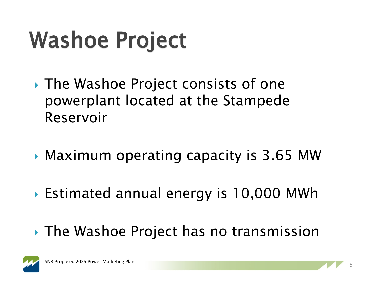# Washoe Project

- ▶ The Washoe Project consists of one powerplant located at the Stampede Reservoir
- Maximum operating capacity is 3.65 MW
- ▶ Estimated annual energy is 10,000 MWh
- ▶ The Washoe Project has no transmission

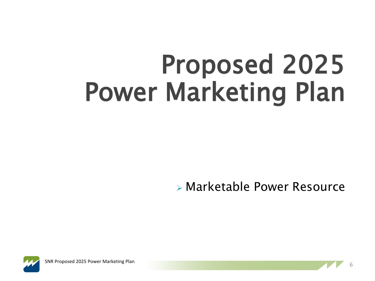# Proposed 2025 Power Marketing Plan

Marketable Power Resource



<sup>6</sup> SNR Proposed 2025 Power Marketing Plan

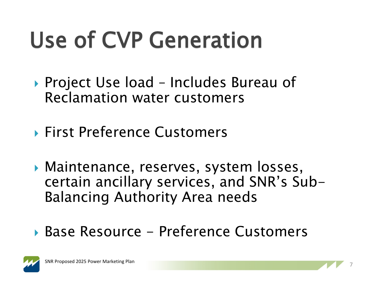# Use of CVP Generation

- ▶ Project Use load Includes Bureau of Reclamation water customers
- ▶ First Preference Customers
- Maintenance, reserves, system losses, certain ancillary services, and SNR's Sub-Balancing Authority Area needs
- Base Resource Preference Customers



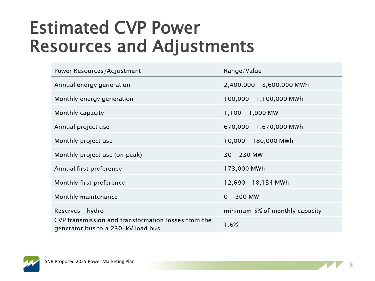#### Estimated CVP Power Resources and Adjustments

| Power Resources/Adjustment                                                                | Range/Value                    |  |
|-------------------------------------------------------------------------------------------|--------------------------------|--|
| Annual energy generation                                                                  | 2,400,000 - 8,600,000 MWh      |  |
| Monthly energy generation                                                                 | 100,000 - 1,100,000 MWh        |  |
| Monthly capacity                                                                          | $1,100 - 1,900$ MW             |  |
| Annual project use                                                                        | 670,000 - 1,670,000 MWh        |  |
| Monthly project use                                                                       | 10,000 - 180,000 MWh           |  |
| Monthly project use (on peak)                                                             | $30 - 230$ MW                  |  |
| Annual first preference                                                                   | 173,000 MWh                    |  |
| Monthly first preference                                                                  | 12,690 - 18,134 MWh            |  |
| Monthly maintenance                                                                       | $0 - 300$ MW                   |  |
| Reserves - hydro                                                                          | minimum 5% of monthly capacity |  |
| CVP transmission and transformation losses from the<br>generator bus to a 230-kV load bus | 1.6%                           |  |

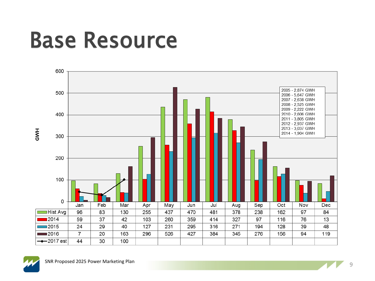#### Base Resource



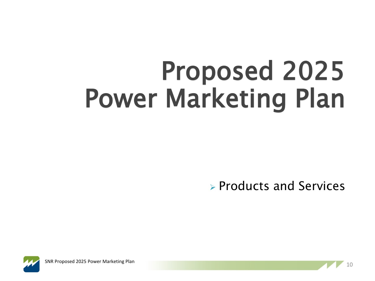# Proposed 2025 Power Marketing Plan

 $\triangleright$  Products and Services



**In SNR Proposed 2025 Power Marketing Plan Contract Contract Contract Contract Contract Contract Contract Contract Contract Contract Contract Contract Contract Contract Contract Contract Contract Contract Contract Contra** 

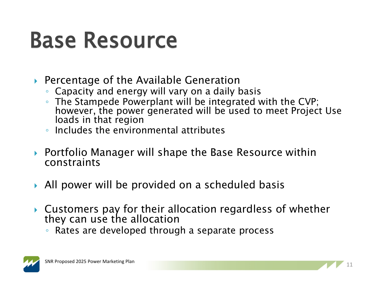#### Base Resource

- ▶ Percentage of the Available Generation
	- Capacity and energy will vary on a daily basis
	- The Stampede Powerplant will be integrated with the CVP; however, the power generated will be used to meet Project Use loads in that region
	- Includes the environmental attributes
- ▶ Portfolio Manager will shape the Base Resource within constraints
- All power will be provided on a scheduled basis
- Customers pay for their allocation regardless of whether they can use the allocation
	- Rates are developed through a separate process

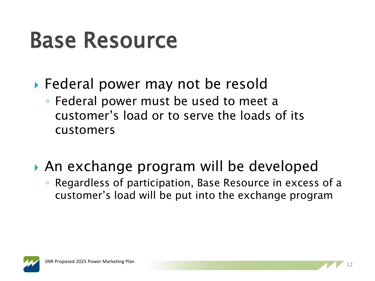#### Base Resource

- ▶ Federal power may not be resold
	- Federal power must be used to meet a customer's load or to serve the loads of its customers
- An exchange program will be developed
	- Regardless of participation, Base Resource in excess of a customer's load will be put into the exchange program

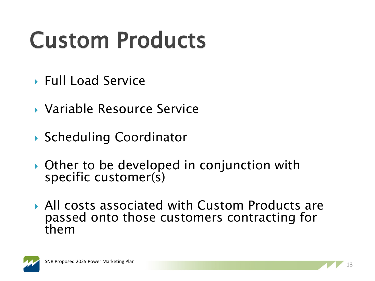# Custom Products

- ▶ Full Load Service
- Variable Resource Service
- ▶ Scheduling Coordinator
- ▶ Other to be developed in conjunction with specific customer(s)
- All costs associated with Custom Products are passed onto those customers contracting for them

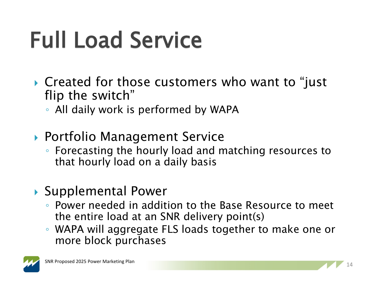# Full Load Service

- ▶ Created for those customers who want to "just" flip the switch"
	- All daily work is performed by WAPA
- ▶ Portfolio Management Service
	- Forecasting the hourly load and matching resources to that hourly load on a daily basis
- ▶ Supplemental Power
	- Power needed in addition to the Base Resource to meet the entire load at an SNR delivery point(s)
	- WAPA will aggregate FLS loads together to make one or more block purchases

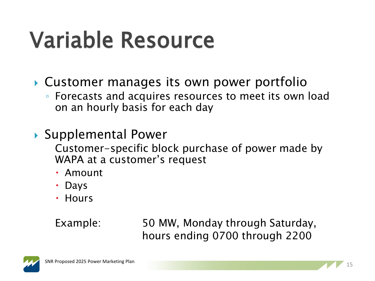# Variable Resource

- Customer manages its own power portfolio
	- Forecasts and acquires resources to meet its own load on an hourly basis for each day
- ▶ Supplemental Power
	- Customer-specific block purchase of power made by WAPA at a customer's request
	- Amount
	- Days
	- Hours

Example: 50 MW, Monday through Saturday, hours ending 0700 through 2200

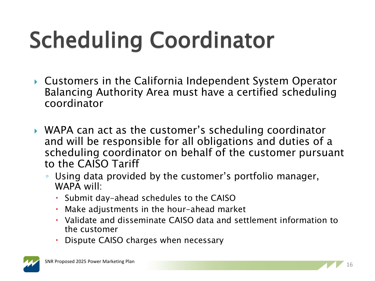# Scheduling Coordinator

- ▶ Customers in the California Independent System Operator Balancing Authority Area must have a certified scheduling coordinator
- WAPA can act as the customer's scheduling coordinator and will be responsible for all obligations and duties of a scheduling coordinator on behalf of the customer pursuant to the CAISO Tariff
	- Using data provided by the customer's portfolio manager, WAPA will:
		- Submit day-ahead schedules to the CAISO
		- Make adjustments in the hour-ahead market
		- Validate and disseminate CAISO data and settlement information to the customer
		- Dispute CAISO charges when necessary

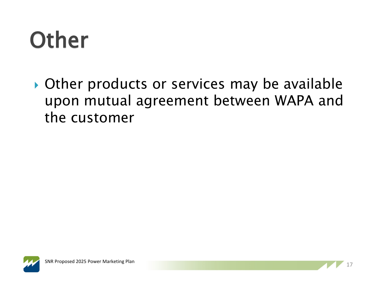## **Other**

Other products or services may be available upon mutual agreement between WAPA and the customer



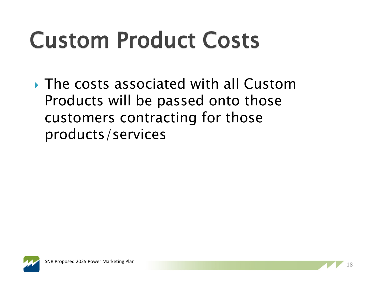# Custom Product Costs

▶ The costs associated with all Custom Products will be passed onto those customers contracting for those products/services

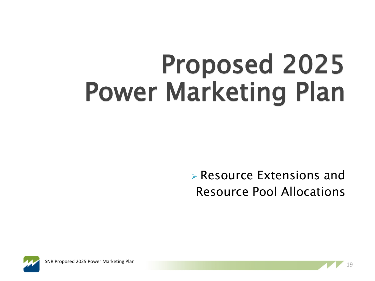# Proposed 2025 Power Marketing Plan

 Resource Extensions and Resource Pool Allocations



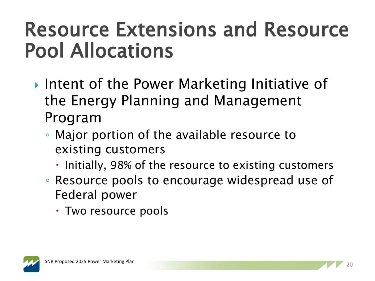#### Resource Extensions and Resource Pool Allocations

- ▶ Intent of the Power Marketing Initiative of the Energy Planning and Management Program
	- Major portion of the available resource to existing customers
		- Initially, 98% of the resource to existing customers
	- Resource pools to encourage widespread use of Federal power
		- Two resource pools

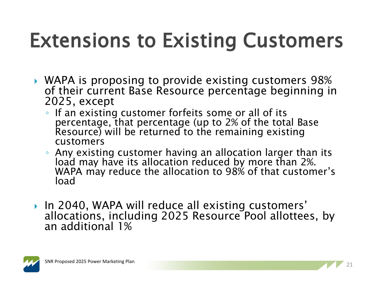#### Extensions to Existing Customers

- WAPA is proposing to provide existing customers 98% of their current Base Resource percentage beginning in 2025, except
	- If an existing customer forfeits some or all of its percentage, that percentage (up to 2% of the total Base Resource) will be returned to the remaining existing customers
	- Any existing customer having an allocation larger than its load may have its allocation reduced by more than 2%. WAPA may reduce the allocation to 98% of that customer's load
- ▶ In 2040, WAPA will reduce all existing customers' allocations, including 2025 Resource Pool allottees, by<br>an additional 1%

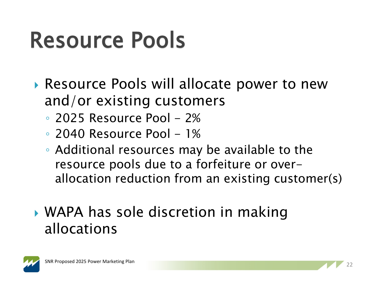## Resource Pools

- ▶ Resource Pools will allocate power to new and/or existing customers
	- $\degree$  2025 Resource Pool 2%
	- $\degree$  2040 Resource Pool 1%
	- Additional resources may be available to the resource pools due to a forfeiture or overallocation reduction from an existing customer(s)
- WAPA has sole discretion in making allocations

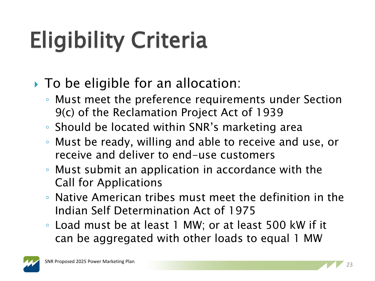# Eligibility Criteria

- ▶ To be eligible for an allocation:
	- Must meet the preference requirements under Section 9(c) of the Reclamation Project Act of 1939
	- Should be located within SNR's marketing area
	- Must be ready, willing and able to receive and use, or receive and deliver to end-use customers
	- Must submit an application in accordance with the Call for Applications
	- Native American tribes must meet the definition in the Indian Self Determination Act of 1975
	- Load must be at least 1 MW; or at least 500 kW if it can be aggregated with other loads to equal 1 MW

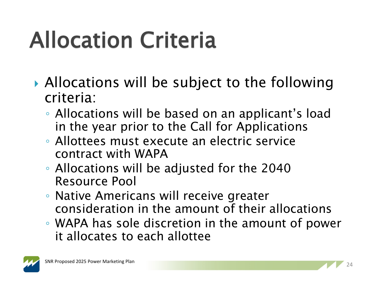# Allocation Criteria

- ▶ Allocations will be subject to the following criteria:
	- Allocations will be based on an applicant's load in the year prior to the Call for Applications
	- Allottees must execute an electric service contract with WAPA
	- Allocations will be adjusted for the 2040 Resource Pool
	- Native Americans will receive greater consideration in the amount of their allocations
	- WAPA has sole discretion in the amount of power it allocates to each allottee

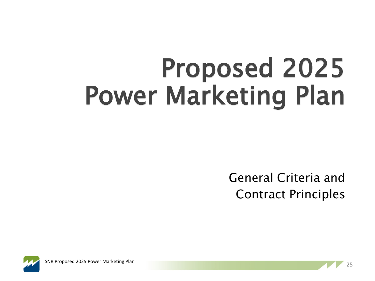# Proposed 2025 Power Marketing Plan



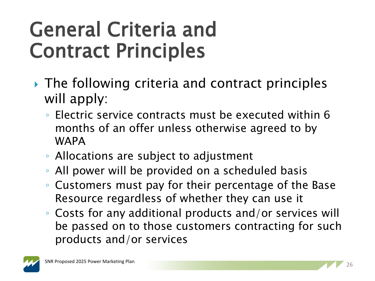- ▶ The following criteria and contract principles will apply:
	- Electric service contracts must be executed within 6 months of an offer unless otherwise agreed to by WAPA
	- Allocations are subject to adjustment
	- All power will be provided on a scheduled basis
	- Customers must pay for their percentage of the Base Resource regardless of whether they can use it
	- Costs for any additional products and/or services will be passed on to those customers contracting for such products and/or services

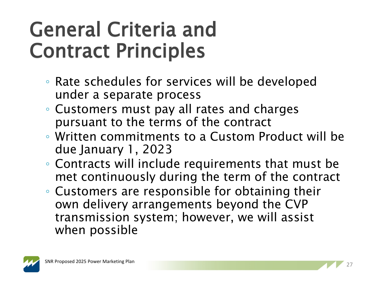- Rate schedules for services will be developed under a separate process
- Customers must pay all rates and charges pursuant to the terms of the contract
- Written commitments to a Custom Product will be due January 1, 2023
- Contracts will include requirements that must be met continuously during the term of the contract
- Customers are responsible for obtaining their own delivery arrangements beyond the CVP transmission system; however, we will assist when possible

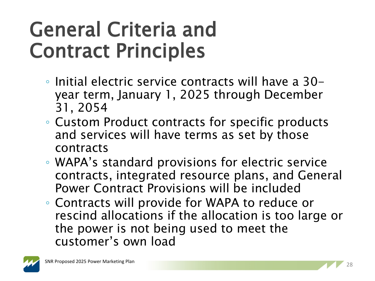- Initial electric service contracts will have a 30 year term, January 1, 2025 through December 31, 2054
- Custom Product contracts for specific products and services will have terms as set by those contracts
- WAPA's standard provisions for electric service contracts, integrated resource plans, and General Power Contract Provisions will be included
- Contracts will provide for WAPA to reduce or rescind allocations if the allocation is too large or the power is not being used to meet the customer's own load

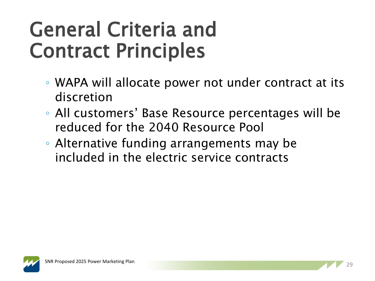- WAPA will allocate power not under contract at its discretion
- All customers' Base Resource percentages will be reduced for the 2040 Resource Pool
- Alternative funding arrangements may be included in the electric service contracts

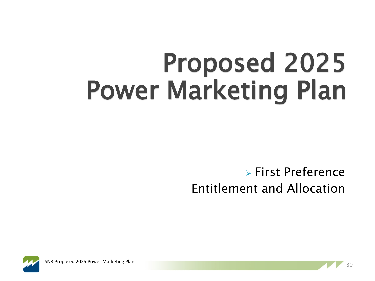# Proposed 2025 Power Marketing Plan

#### First Preference Entitlement and Allocation



<sup>30</sup> SNR Proposed 2025 Power Marketing Plan

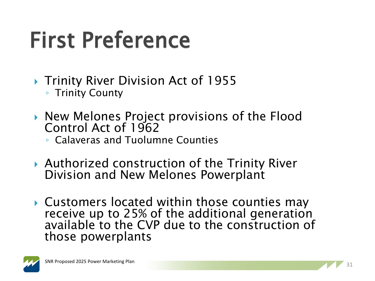# First Preference

- ▶ Trinity River Division Act of 1955 ◦ Trinity County
- ▶ New Melones Project provisions of the Flood Control Act of 1962
	- Calaveras and Tuolumne Counties
- ▶ Authorized construction of the Trinity River Division and New Melones Powerplant
- ▶ Customers located within those counties may receive up to 25% of the additional generation available to the CVP due to the construction of those powerplants

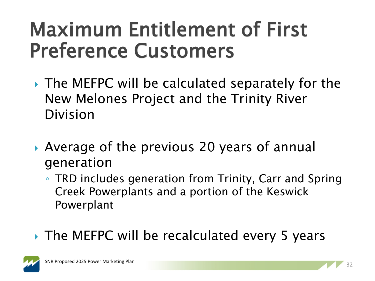#### Maximum Entitlement of First Preference Customers

- ▶ The MEFPC will be calculated separately for the New Melones Project and the Trinity River Division
- Average of the previous 20 years of annual generation
	- TRD includes generation from Trinity, Carr and Spring Creek Powerplants and a portion of the Keswick Powerplant

#### ▶ The MEFPC will be recalculated every 5 years

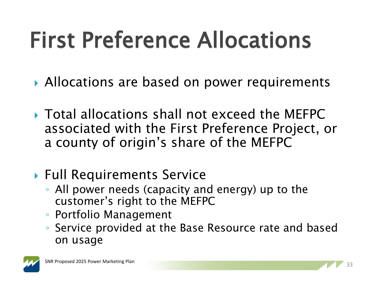# First Preference Allocations

- ▶ Allocations are based on power requirements
- Total allocations shall not exceed the MEFPC associated with the First Preference Project, or a county of origin's share of the MEFPC
- ▶ Full Requirements Service
	- All power needs (capacity and energy) up to the customer's right to the MEFPC
	- Portfolio Management
	- Service provided at the Base Resource rate and based on usage

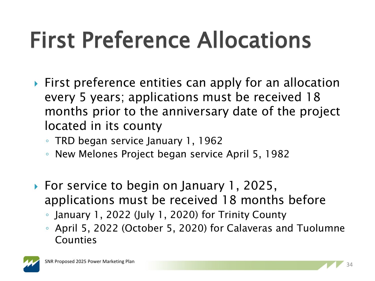# First Preference Allocations

- **First preference entities can apply for an allocation** every 5 years; applications must be received 18 months prior to the anniversary date of the project located in its county
	- TRD began service January 1, 1962
	- New Melones Project began service April 5, 1982
- ▶ For service to begin on January 1, 2025, applications must be received 18 months before
	- January 1, 2022 (July 1, 2020) for Trinity County
	- April 5, 2022 (October 5, 2020) for Calaveras and Tuolumne Counties

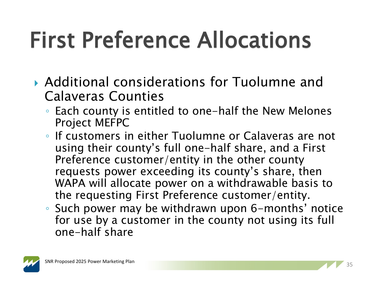# First Preference Allocations

- Additional considerations for Tuolumne and Calaveras Counties
	- Each county is entitled to one-half the New Melones Project MEFPC
	- If customers in either Tuolumne or Calaveras are not using their county's full one-half share, and a First Preference customer/entity in the other county requests power exceeding its county's share, then WAPA will allocate power on a withdrawable basis to the requesting First Preference customer/entity.
	- Such power may be withdrawn upon 6-months' notice for use by a customer in the county not using its full one-half share

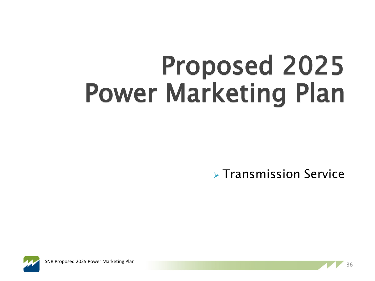# Proposed 2025 Power Marketing Plan

 $\triangleright$  Transmission Service



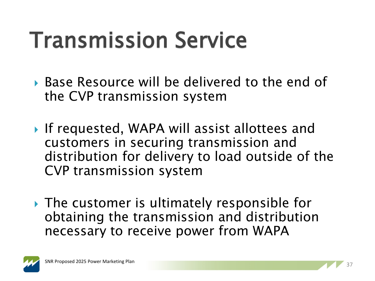## Transmission Service

- Base Resource will be delivered to the end of the CVP transmission system
- ▶ If requested, WAPA will assist allottees and customers in securing transmission and distribution for delivery to load outside of the CVP transmission system
- ▶ The customer is ultimately responsible for obtaining the transmission and distribution necessary to receive power from WAPA

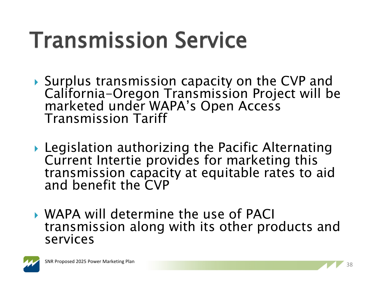## Transmission Service

- ▶ Surplus transmission capacity on the CVP and<br>California-Oregon Transmission Project will be marketed under WAPA's Open Access Transmission Tariff
- ▶ Legislation authorizing the Pacific Alternating Current Intertie provides for marketing this transmission capacity at equitable rates to aid and benefit the CVP
- WAPA will determine the use of PACI transmission along with its other products and services

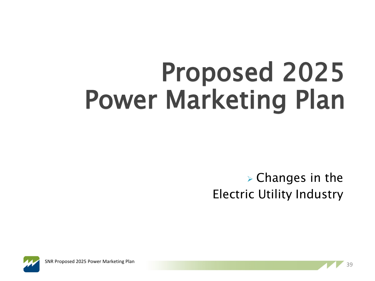# Proposed 2025 Power Marketing Plan

 $\triangleright$  Changes in the Electric Utility Industry



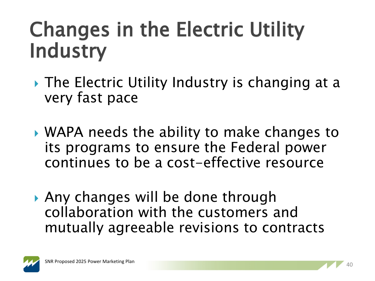#### Changes in the Electric Utility **Industry**

- ▶ The Electric Utility Industry is changing at a very fast pace
- WAPA needs the ability to make changes to its programs to ensure the Federal power continues to be a cost-effective resource
- Any changes will be done through collaboration with the customers and mutually agreeable revisions to contracts

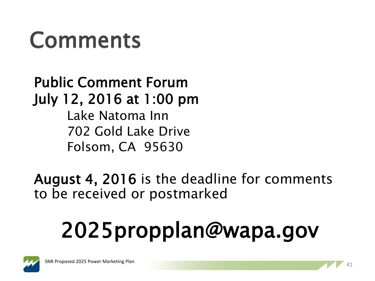#### Comments

Public Comment Forum July 12, 2016 at 1:00 pm Lake Natoma Inn 702 Gold Lake Drive Folsom, CA 95630

August 4, 2016 is the deadline for comments to be received or postmarked

# 2025propplan@wapa.gov